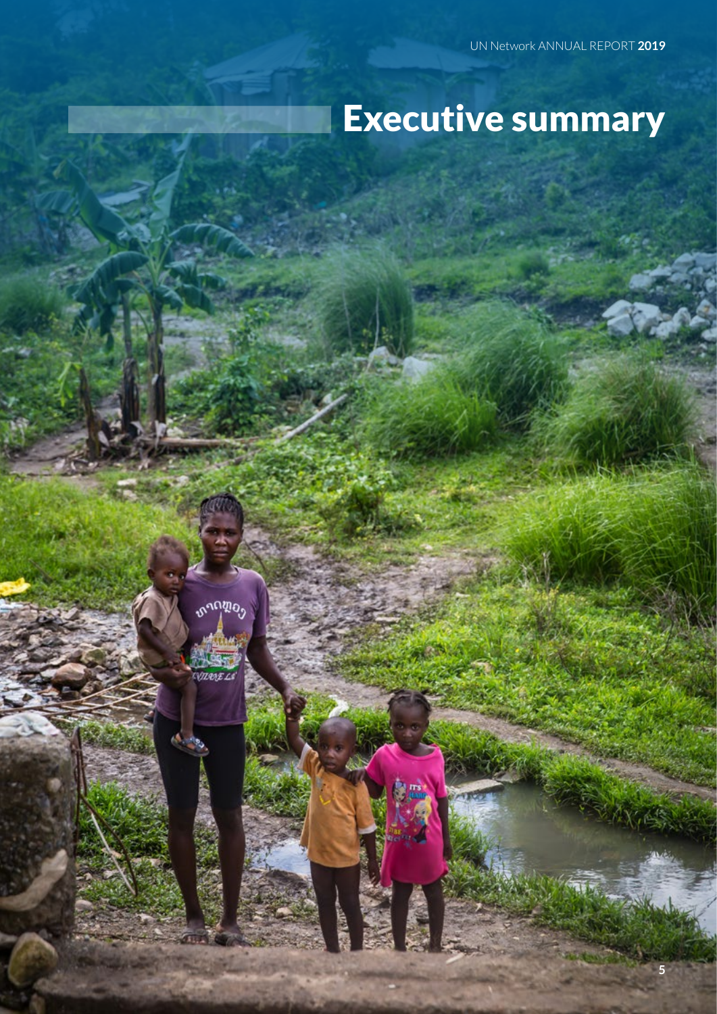# Executive summary



**5**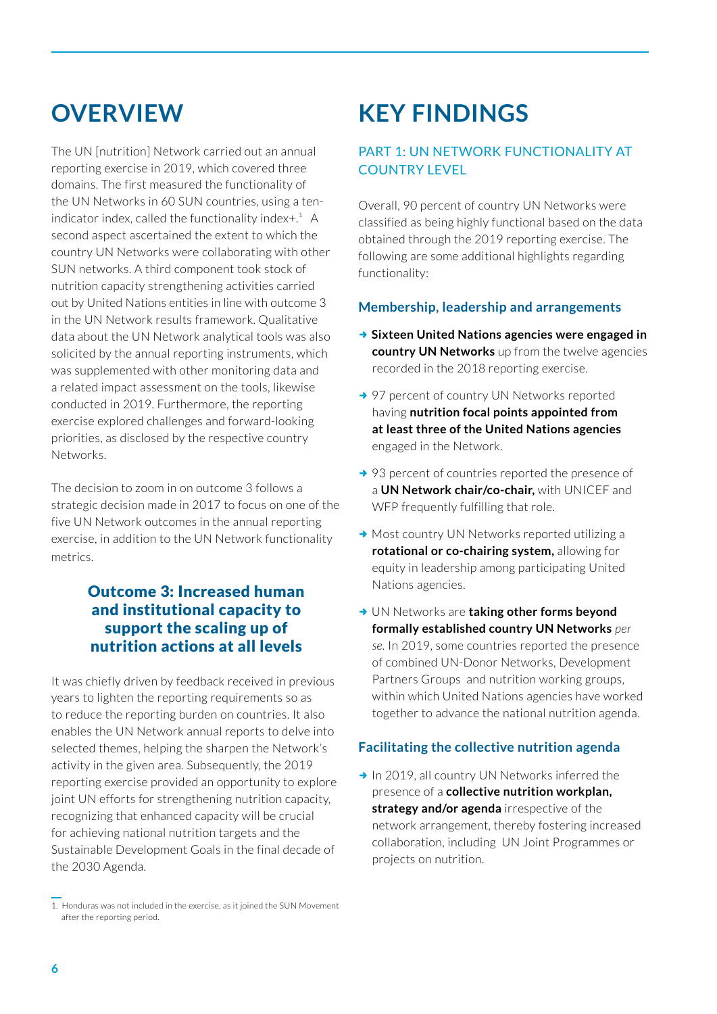### **OVERVIEW**

The UN [nutrition] Network carried out an annual reporting exercise in 2019, which covered three domains. The first measured the functionality of the UN Networks in 60 SUN countries, using a tenindicator index, called the functionality index $+$ .<sup>1</sup> A second aspect ascertained the extent to which the country UN Networks were collaborating with other SUN networks. A third component took stock of nutrition capacity strengthening activities carried out by United Nations entities in line with outcome 3 in the UN Network results framework. Qualitative data about the UN Network analytical tools was also solicited by the annual reporting instruments, which was supplemented with other monitoring data and a related impact assessment on the tools, likewise conducted in 2019. Furthermore, the reporting exercise explored challenges and forward-looking priorities, as disclosed by the respective country Networks.

The decision to zoom in on outcome 3 follows a strategic decision made in 2017 to focus on one of the five UN Network outcomes in the annual reporting exercise, in addition to the UN Network functionality metrics.

### Outcome 3: Increased human and institutional capacity to support the scaling up of nutrition actions at all levels

It was chiefly driven by feedback received in previous years to lighten the reporting requirements so as to reduce the reporting burden on countries. It also enables the UN Network annual reports to delve into selected themes, helping the sharpen the Network's activity in the given area. Subsequently, the 2019 reporting exercise provided an opportunity to explore joint UN efforts for strengthening nutrition capacity, recognizing that enhanced capacity will be crucial for achieving national nutrition targets and the Sustainable Development Goals in the final decade of the 2030 Agenda.

# **KEY FINDINGS**

### PART 1: UN NETWORK FUNCTIONALITY AT COUNTRY LEVEL

Overall, 90 percent of country UN Networks were classified as being highly functional based on the data obtained through the 2019 reporting exercise. The following are some additional highlights regarding functionality:

#### **Membership, leadership and arrangements**

- → Sixteen United Nations agencies were engaged in **country UN Networks** up from the twelve agencies recorded in the 2018 reporting exercise.
- → 97 percent of country UN Networks reported having **nutrition focal points appointed from at least three of the United Nations agencies** engaged in the Network.
- $\rightarrow$  93 percent of countries reported the presence of a **UN Network chair/co-chair,** with UNICEF and WFP frequently fulfilling that role.
- $\rightarrow$  Most country UN Networks reported utilizing a **rotational or co-chairing system,** allowing for equity in leadership among participating United Nations agencies.
- **→ UN Networks are taking other forms beyond formally established country UN Networks** *per se.* In 2019, some countries reported the presence of combined UN-Donor Networks, Development Partners Groups and nutrition working groups, within which United Nations agencies have worked together to advance the national nutrition agenda.

#### **Facilitating the collective nutrition agenda**

 $\rightarrow$  In 2019, all country UN Networks inferred the presence of a **collective nutrition workplan, strategy and/or agenda** irrespective of the network arrangement, thereby fostering increased collaboration, including UN Joint Programmes or projects on nutrition.

<sup>1.</sup> Honduras was not included in the exercise, as it joined the SUN Movement after the reporting period.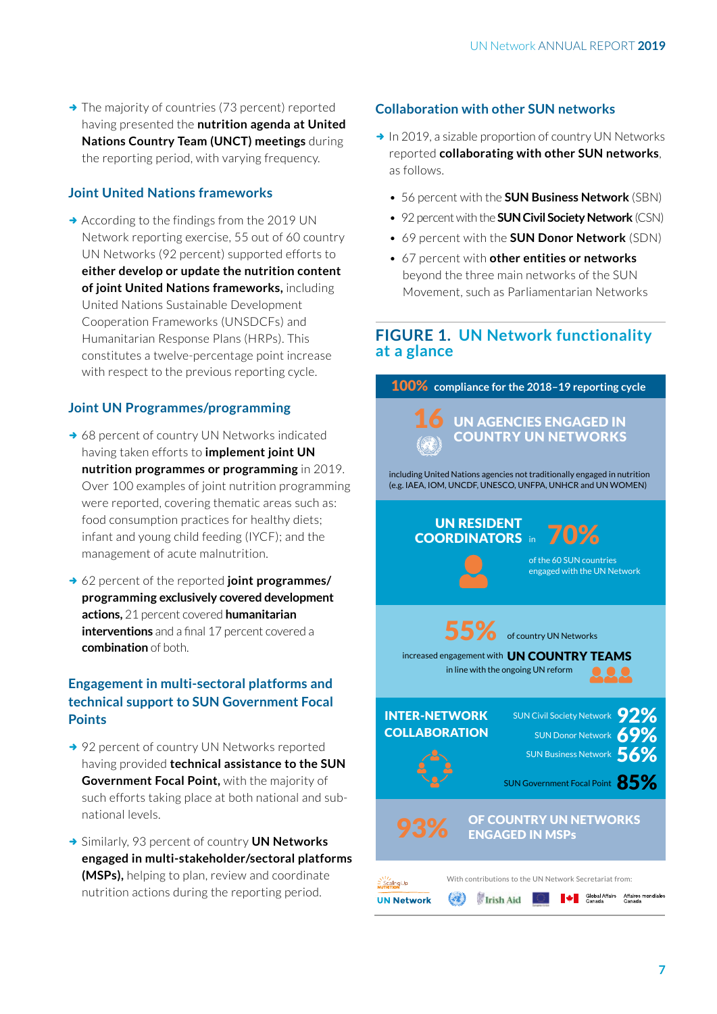$\rightarrow$  The majority of countries (73 percent) reported having presented the **nutrition agenda at United Nations Country Team (UNCT) meetings** during the reporting period, with varying frequency.

#### **Joint United Nations frameworks**

 $\rightarrow$  According to the findings from the 2019 UN Network reporting exercise, 55 out of 60 country UN Networks (92 percent) supported efforts to **either develop or update the nutrition content of joint United Nations frameworks,** including United Nations Sustainable Development Cooperation Frameworks (UNSDCFs) and Humanitarian Response Plans (HRPs). This constitutes a twelve-percentage point increase with respect to the previous reporting cycle.

#### **Joint UN Programmes/programming**

- $\rightarrow$  68 percent of country UN Networks indicated having taken efforts to **implement joint UN nutrition programmes or programming** in 2019. Over 100 examples of joint nutrition programming were reported, covering thematic areas such as: food consumption practices for healthy diets; infant and young child feeding (IYCF); and the management of acute malnutrition.
- **→ 62 percent of the reported joint programmes/ programming exclusively covered development actions,** 21 percent covered **humanitarian interventions** and a final 17 percent covered a **combination** of both.

#### **Engagement in multi-sectoral platforms and technical support to SUN Government Focal Points**

- → 92 percent of country UN Networks reported having provided **technical assistance to the SUN Government Focal Point,** with the majority of such efforts taking place at both national and subnational levels.
- **→ Similarly, 93 percent of country UN Networks engaged in multi-stakeholder/sectoral platforms (MSPs),** helping to plan, review and coordinate nutrition actions during the reporting period.

#### **Collaboration with other SUN networks**

- $\rightarrow$  In 2019, a sizable proportion of country UN Networks reported **collaborating with other SUN networks**, as follows.
	- 56 percent with the **SUN Business Network** (SBN)
	- 92 percent with the **SUN Civil Society Network** (CSN)
	- 69 percent with the **SUN Donor Network** (SDN)
	- 67 percent with **other entities or networks** beyond the three main networks of the SUN Movement, such as Parliamentarian Networks

#### **FIGURE 1. UN Network functionality at a glance**

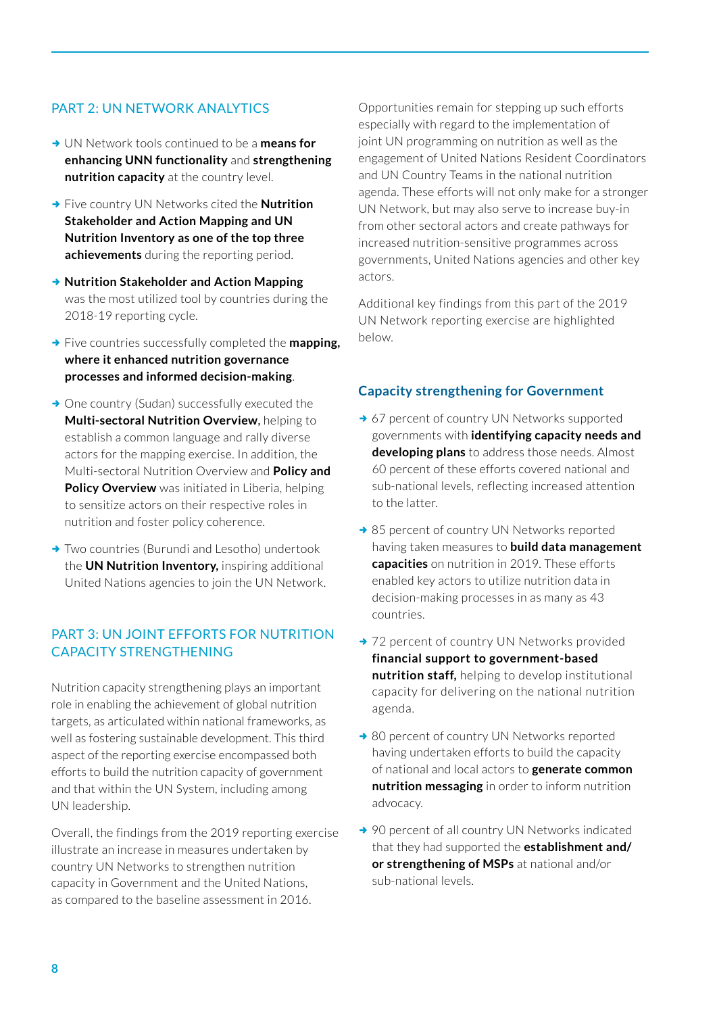#### PART 2: UN NETWORK ANALYTICS

- **→ UN Network tools continued to be a means for enhancing UNN functionality** and **strengthening nutrition capacity** at the country level.
- **→ Five country UN Networks cited the Nutrition Stakeholder and Action Mapping and UN Nutrition Inventory as one of the top three achievements** during the reporting period.
- **→ Nutrition Stakeholder and Action Mapping** was the most utilized tool by countries during the 2018-19 reporting cycle.
- **→** Five countries successfully completed the **mapping**, **where it enhanced nutrition governance processes and informed decision-making**.
- $\rightarrow$  One country (Sudan) successfully executed the **Multi-sectoral Nutrition Overview**, helping to establish a common language and rally diverse actors for the mapping exercise. In addition, the Multi-sectoral Nutrition Overview and **Policy and Policy Overview** was initiated in Liberia, helping to sensitize actors on their respective roles in nutrition and foster policy coherence.
- $\rightarrow$  Two countries (Burundi and Lesotho) undertook the **UN Nutrition Inventory,** inspiring additional United Nations agencies to join the UN Network.

#### PART 3: UN JOINT EFFORTS FOR NUTRITION CAPACITY STRENGTHENING

Nutrition capacity strengthening plays an important role in enabling the achievement of global nutrition targets, as articulated within national frameworks, as well as fostering sustainable development. This third aspect of the reporting exercise encompassed both efforts to build the nutrition capacity of government and that within the UN System, including among UN leadership.

Overall, the findings from the 2019 reporting exercise illustrate an increase in measures undertaken by country UN Networks to strengthen nutrition capacity in Government and the United Nations, as compared to the baseline assessment in 2016.

Opportunities remain for stepping up such efforts especially with regard to the implementation of joint UN programming on nutrition as well as the engagement of United Nations Resident Coordinators and UN Country Teams in the national nutrition agenda. These efforts will not only make for a stronger UN Network, but may also serve to increase buy-in from other sectoral actors and create pathways for increased nutrition-sensitive programmes across governments, United Nations agencies and other key actors.

Additional key findings from this part of the 2019 UN Network reporting exercise are highlighted below.

#### **Capacity strengthening for Government**

- → 67 percent of country UN Networks supported governments with **identifying capacity needs and developing plans** to address those needs. Almost 60 percent of these efforts covered national and sub-national levels, reflecting increased attention to the latter.
- $\rightarrow$  85 percent of country UN Networks reported having taken measures to **build data management capacities** on nutrition in 2019. These efforts enabled key actors to utilize nutrition data in decision-making processes in as many as 43 countries.
- → 72 percent of country UN Networks provided **financial support to government-based nutrition staff,** helping to develop institutional capacity for delivering on the national nutrition agenda.
- $\rightarrow$  80 percent of country UN Networks reported having undertaken efforts to build the capacity of national and local actors to **generate common nutrition messaging** in order to inform nutrition advocacy.
- $\rightarrow$  90 percent of all country UN Networks indicated that they had supported the **establishment and/ or strengthening of MSPs** at national and/or sub-national levels.